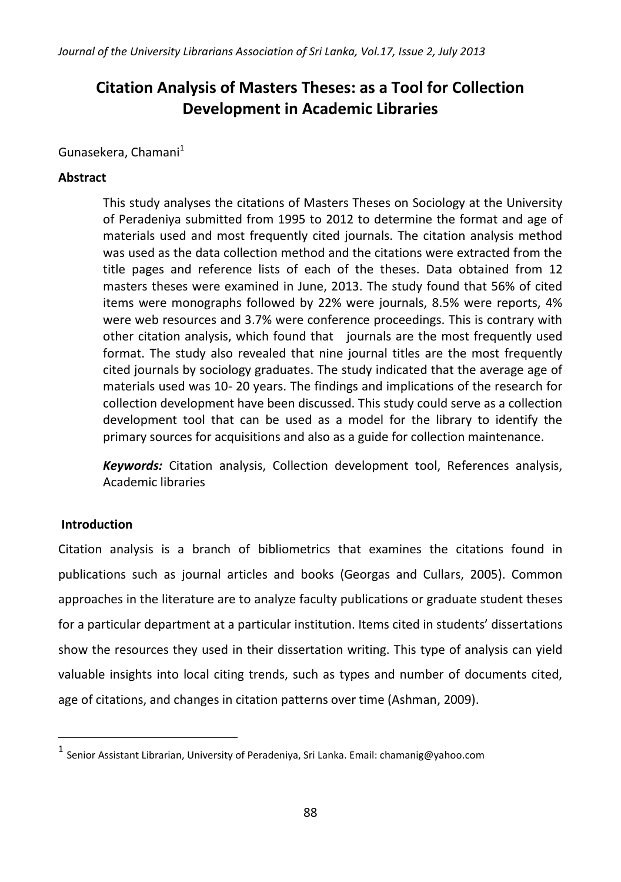# **Citation Analysis of Masters Theses: as a Tool for Collection Development in Academic Libraries**

# Gunasekera, Chamani<sup>1</sup>

# **Abstract**

This study analyses the citations of Masters Theses on Sociology at the University of Peradeniya submitted from 1995 to 2012 to determine the format and age of materials used and most frequently cited journals. The citation analysis method was used as the data collection method and the citations were extracted from the title pages and reference lists of each of the theses. Data obtained from 12 masters theses were examined in June, 2013. The study found that 56% of cited items were monographs followed by 22% were journals, 8.5% were reports, 4% were web resources and 3.7% were conference proceedings. This is contrary with other citation analysis, which found that journals are the most frequently used format. The study also revealed that nine journal titles are the most frequently cited journals by sociology graduates. The study indicated that the average age of materials used was 10- 20 years. The findings and implications of the research for collection development have been discussed. This study could serve as a collection development tool that can be used as a model for the library to identify the primary sources for acquisitions and also as a guide for collection maintenance.

*Keywords:* Citation analysis, Collection development tool, References analysis, Academic libraries

# **Introduction**

Citation analysis is a branch of bibliometrics that examines the citations found in publications such as journal articles and books (Georgas and Cullars, 2005). Common approaches in the literature are to analyze faculty publications or graduate student theses for a particular department at a particular institution. Items cited in students' dissertations show the resources they used in their dissertation writing. This type of analysis can yield valuable insights into local citing trends, such as types and number of documents cited, age of citations, and changes in citation patterns over time (Ashman, 2009).

<sup>&</sup>lt;sup>1</sup> Senior Assistant Librarian, University of Peradeniya, Sri Lanka. Email: chamanig@yahoo.com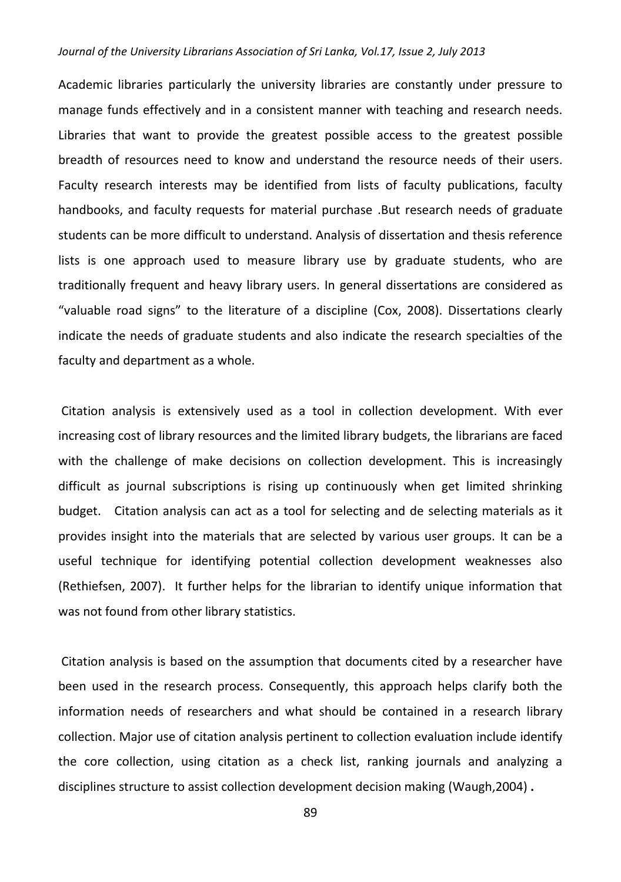Academic libraries particularly the university libraries are constantly under pressure to manage funds effectively and in a consistent manner with teaching and research needs. Libraries that want to provide the greatest possible access to the greatest possible breadth of resources need to know and understand the resource needs of their users. Faculty research interests may be identified from lists of faculty publications, faculty handbooks, and faculty requests for material purchase .But research needs of graduate students can be more difficult to understand. Analysis of dissertation and thesis reference lists is one approach used to measure library use by graduate students, who are traditionally frequent and heavy library users. In general dissertations are considered as "valuable road signs" to the literature of a discipline (Cox, 2008). Dissertations clearly indicate the needs of graduate students and also indicate the research specialties of the faculty and department as a whole.

Citation analysis is extensively used as a tool in collection development. With ever increasing cost of library resources and the limited library budgets, the librarians are faced with the challenge of make decisions on collection development. This is increasingly difficult as journal subscriptions is rising up continuously when get limited shrinking budget. Citation analysis can act as a tool for selecting and de selecting materials as it provides insight into the materials that are selected by various user groups. It can be a useful technique for identifying potential collection development weaknesses also (Rethiefsen, 2007). It further helps for the librarian to identify unique information that was not found from other library statistics.

Citation analysis is based on the assumption that documents cited by a researcher have been used in the research process. Consequently, this approach helps clarify both the information needs of researchers and what should be contained in a research library collection. Major use of citation analysis pertinent to collection evaluation include identify the core collection, using citation as a check list, ranking journals and analyzing a disciplines structure to assist collection development decision making (Waugh,2004) **.**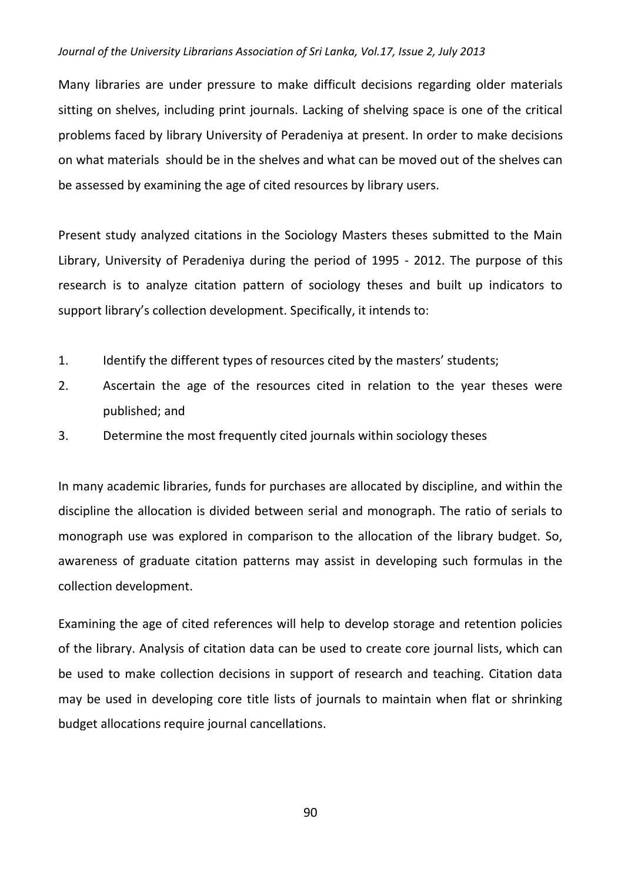Many libraries are under pressure to make difficult decisions regarding older materials sitting on shelves, including print journals. Lacking of shelving space is one of the critical problems faced by library University of Peradeniya at present. In order to make decisions on what materials should be in the shelves and what can be moved out of the shelves can be assessed by examining the age of cited resources by library users.

Present study analyzed citations in the Sociology Masters theses submitted to the Main Library, University of Peradeniya during the period of 1995 - 2012. The purpose of this research is to analyze citation pattern of sociology theses and built up indicators to support library's collection development. Specifically, it intends to:

- 1. Identify the different types of resources cited by the masters' students;
- 2. Ascertain the age of the resources cited in relation to the year theses were published; and
- 3. Determine the most frequently cited journals within sociology theses

In many academic libraries, funds for purchases are allocated by discipline, and within the discipline the allocation is divided between serial and monograph. The ratio of serials to monograph use was explored in comparison to the allocation of the library budget. So, awareness of graduate citation patterns may assist in developing such formulas in the collection development.

Examining the age of cited references will help to develop storage and retention policies of the library. Analysis of citation data can be used to create core journal lists, which can be used to make collection decisions in support of research and teaching. Citation data may be used in developing core title lists of journals to maintain when flat or shrinking budget allocations require journal cancellations.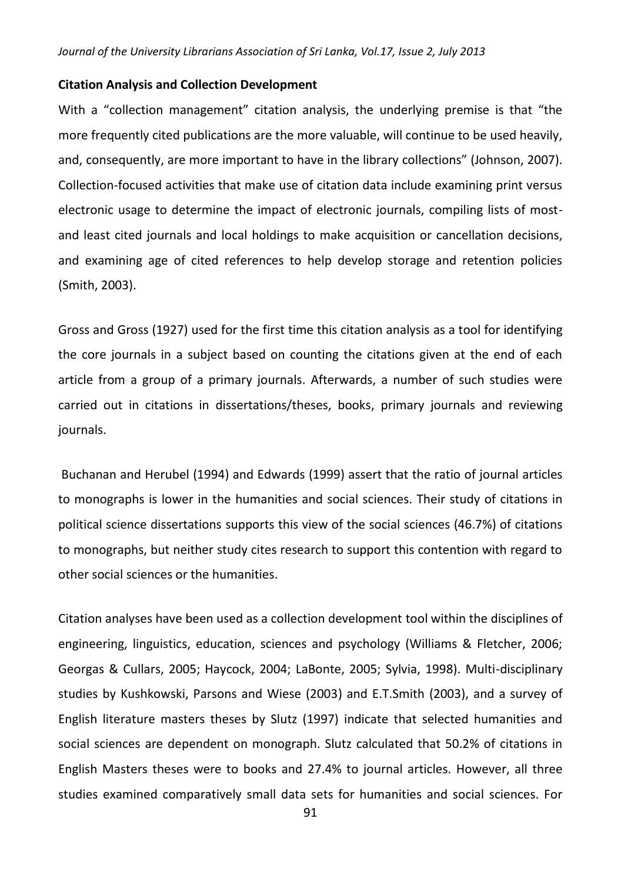#### **Citation Analysis and Collection Development**

With a "collection management" citation analysis, the underlying premise is that "the more frequently cited publications are the more valuable, will continue to be used heavily, and, consequently, are more important to have in the library collections" (Johnson, 2007). Collection-focused activities that make use of citation data include examining print versus electronic usage to determine the impact of electronic journals, compiling lists of most and least cited journals and local holdings to make acquisition or cancellation decisions, and examining age of cited references to help develop storage and retention policies (Smith, 2003).

Gross and Gross (1927) used for the first time this citation analysis as a tool for identifying the core journals in a subject based on counting the citations given at the end of each article from a group of a primary journals. Afterwards, a number of such studies were carried out in citations in dissertations/theses, books, primary journals and reviewing journals.

Buchanan and Herubel (1994) and Edwards (1999) assert that the ratio of journal articles to monographs is lower in the humanities and social sciences. Their study of citations in political science dissertations supports this view of the social sciences (46.7%) of citations to monographs, but neither study cites research to support this contention with regard to other social sciences or the humanities.

Citation analyses have been used as a collection development tool within the disciplines of engineering, linguistics, education, sciences and psychology (Williams & Fletcher, 2006; Georgas & Cullars, 2005; Haycock, 2004; LaBonte, 2005; Sylvia, 1998). Multi-disciplinary studies by Kushkowski, Parsons and Wiese (2003) and E.T.Smith (2003), and a survey of English literature masters theses by Slutz (1997) indicate that selected humanities and social sciences are dependent on monograph. Slutz calculated that 50.2% of citations in English Masters theses were to books and 27.4% to journal articles. However, all three studies examined comparatively small data sets for humanities and social sciences. For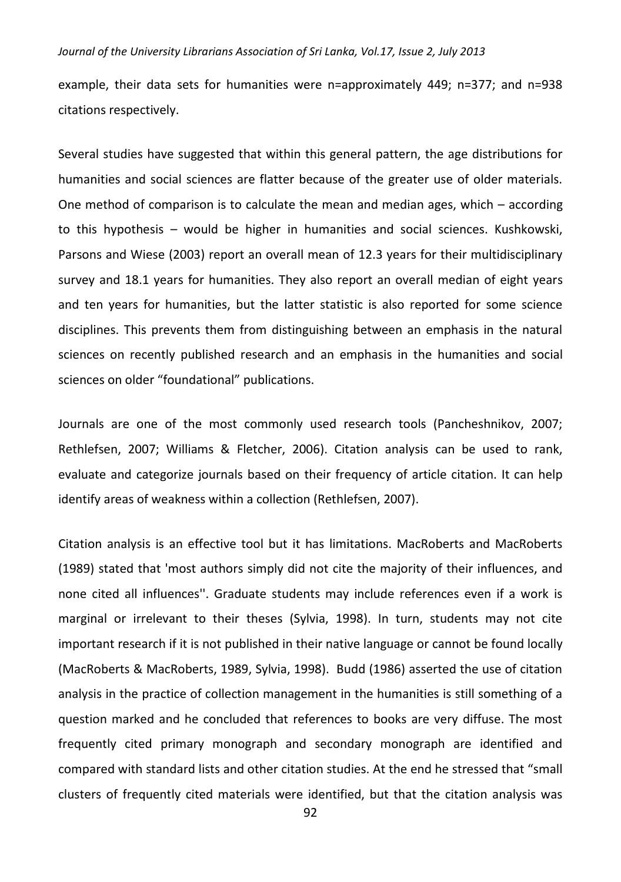example, their data sets for humanities were n=approximately 449; n=377; and n=938 citations respectively.

Several studies have suggested that within this general pattern, the age distributions for humanities and social sciences are flatter because of the greater use of older materials. One method of comparison is to calculate the mean and median ages, which – according to this hypothesis – would be higher in humanities and social sciences. Kushkowski, Parsons and Wiese (2003) report an overall mean of 12.3 years for their multidisciplinary survey and 18.1 years for humanities. They also report an overall median of eight years and ten years for humanities, but the latter statistic is also reported for some science disciplines. This prevents them from distinguishing between an emphasis in the natural sciences on recently published research and an emphasis in the humanities and social sciences on older "foundational" publications.

Journals are one of the most commonly used research tools (Pancheshnikov, 2007; Rethlefsen, 2007; Williams & Fletcher, 2006). Citation analysis can be used to rank, evaluate and categorize journals based on their frequency of article citation. It can help identify areas of weakness within a collection (Rethlefsen, 2007).

Citation analysis is an effective tool but it has limitations. MacRoberts and MacRoberts (1989) stated that 'most authors simply did not cite the majority of their influences, and none cited all influences''. Graduate students may include references even if a work is marginal or irrelevant to their theses (Sylvia, 1998). In turn, students may not cite important research if it is not published in their native language or cannot be found locally (MacRoberts & MacRoberts, 1989, Sylvia, 1998). Budd (1986) asserted the use of citation analysis in the practice of collection management in the humanities is still something of a question marked and he concluded that references to books are very diffuse. The most frequently cited primary monograph and secondary monograph are identified and compared with standard lists and other citation studies. At the end he stressed that "small clusters of frequently cited materials were identified, but that the citation analysis was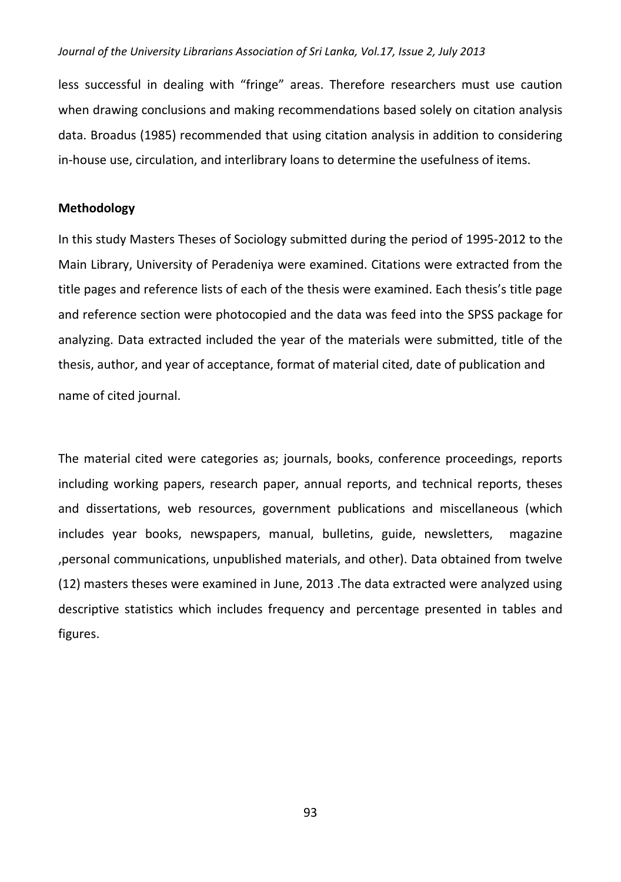less successful in dealing with "fringe" areas. Therefore researchers must use caution when drawing conclusions and making recommendations based solely on citation analysis data. Broadus (1985) recommended that using citation analysis in addition to considering in-house use, circulation, and interlibrary loans to determine the usefulness of items.

#### **Methodology**

In this study Masters Theses of Sociology submitted during the period of 1995-2012 to the Main Library, University of Peradeniya were examined. Citations were extracted from the title pages and reference lists of each of the thesis were examined. Each thesis's title page and reference section were photocopied and the data was feed into the SPSS package for analyzing. Data extracted included the year of the materials were submitted, title of the thesis, author, and year of acceptance, format of material cited, date of publication and name of cited journal.

The material cited were categories as; journals, books, conference proceedings, reports including working papers, research paper, annual reports, and technical reports, theses and dissertations, web resources, government publications and miscellaneous (which includes year books, newspapers, manual, bulletins, guide, newsletters, magazine ,personal communications, unpublished materials, and other). Data obtained from twelve (12) masters theses were examined in June, 2013 .The data extracted were analyzed using descriptive statistics which includes frequency and percentage presented in tables and figures.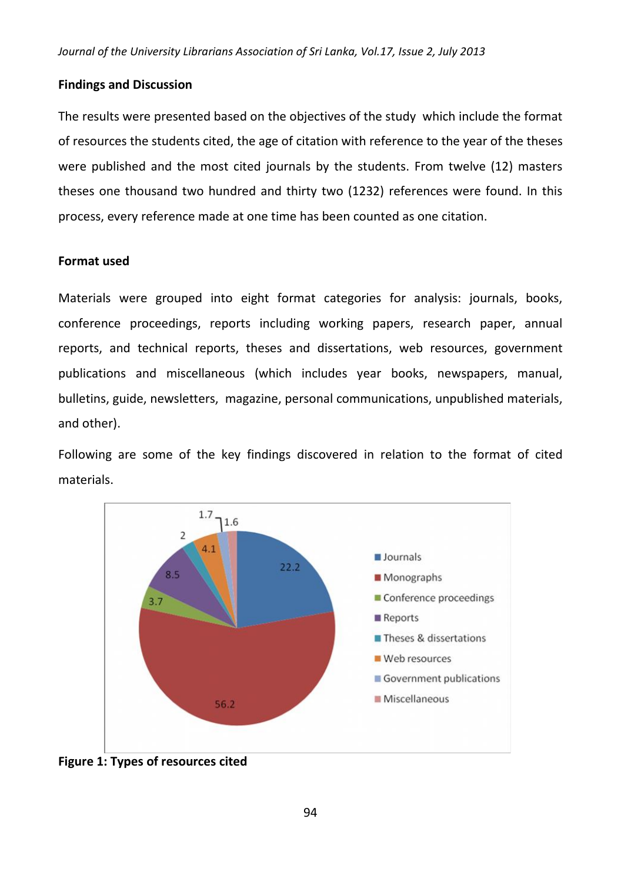### **Findings and Discussion**

The results were presented based on the objectives of the study which include the format of resources the students cited, the age of citation with reference to the year of the theses were published and the most cited journals by the students. From twelve (12) masters theses one thousand two hundred and thirty two (1232) references were found. In this process, every reference made at one time has been counted as one citation.

### **Format used**

Materials were grouped into eight format categories for analysis: journals, books, conference proceedings, reports including working papers, research paper, annual reports, and technical reports, theses and dissertations, web resources, government publications and miscellaneous (which includes year books, newspapers, manual, bulletins, guide, newsletters, magazine, personal communications, unpublished materials, and other).

Following are some of the key findings discovered in relation to the format of cited materials.



**Figure 1: Types of resources cited**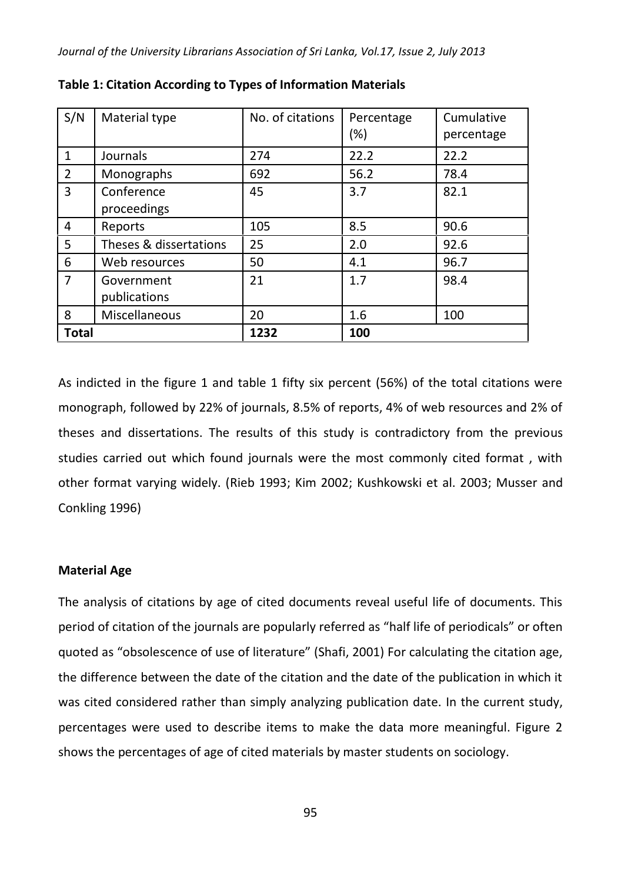| S/N            | Material type              | No. of citations | Percentage<br>$(\%)$ | Cumulative<br>percentage |
|----------------|----------------------------|------------------|----------------------|--------------------------|
| $\mathbf{1}$   | Journals                   | 274              | 22.2                 | 22.2                     |
| $\overline{2}$ | Monographs                 | 692              | 56.2                 | 78.4                     |
| 3              | Conference<br>proceedings  | 45               | 3.7                  | 82.1                     |
| 4              | Reports                    | 105              | 8.5                  | 90.6                     |
| 5              | Theses & dissertations     | 25               | 2.0                  | 92.6                     |
| 6              | Web resources              | 50               | 4.1                  | 96.7                     |
| $\overline{7}$ | Government<br>publications | 21               | 1.7                  | 98.4                     |
| 8              | Miscellaneous              | 20               | 1.6                  | 100                      |
| <b>Total</b>   |                            | 1232             | 100                  |                          |

**Table 1: Citation According to Types of Information Materials**

As indicted in the figure 1 and table 1 fifty six percent (56%) of the total citations were monograph, followed by 22% of journals, 8.5% of reports, 4% of web resources and 2% of theses and dissertations. The results of this study is contradictory from the previous studies carried out which found journals were the most commonly cited format , with other format varying widely. (Rieb 1993; Kim 2002; Kushkowski et al. 2003; Musser and Conkling 1996)

#### **Material Age**

The analysis of citations by age of cited documents reveal useful life of documents. This period of citation of the journals are popularly referred as "half life of periodicals" or often quoted as "obsolescence of use of literature" (Shafi, 2001) For calculating the citation age, the difference between the date of the citation and the date of the publication in which it was cited considered rather than simply analyzing publication date. In the current study, percentages were used to describe items to make the data more meaningful. Figure 2 shows the percentages of age of cited materials by master students on sociology.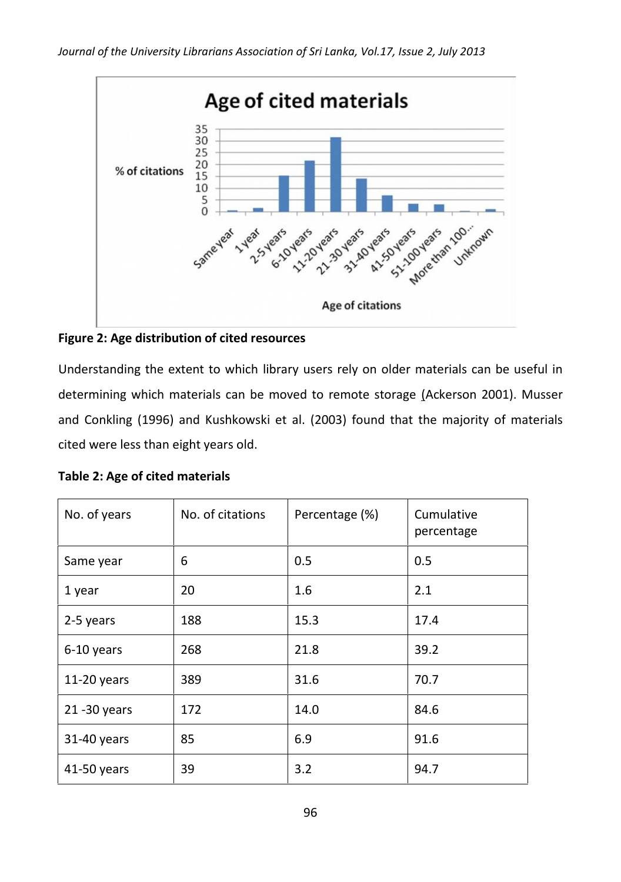

**Figure 2: Age distribution of cited resources**

Understanding the extent to which library users rely on older materials can be useful in determining which materials can be moved to remote storage (Ackerson 2001). Musser and Conkling (1996) and Kushkowski et al. (2003) found that the majority of materials cited were less than eight years old.

| Table 2: Age of cited materials |  |
|---------------------------------|--|
|---------------------------------|--|

| No. of years    | No. of citations | Percentage (%) | Cumulative<br>percentage |
|-----------------|------------------|----------------|--------------------------|
| Same year       | 6                | 0.5            | 0.5                      |
| 1 year          | 20               | 1.6            | 2.1                      |
| 2-5 years       | 188              | 15.3           | 17.4                     |
| 6-10 years      | 268              | 21.8           | 39.2                     |
| $11-20$ years   | 389              | 31.6           | 70.7                     |
| $21 - 30$ years | 172              | 14.0           | 84.6                     |
| 31-40 years     | 85               | 6.9            | 91.6                     |
| 41-50 years     | 39               | 3.2            | 94.7                     |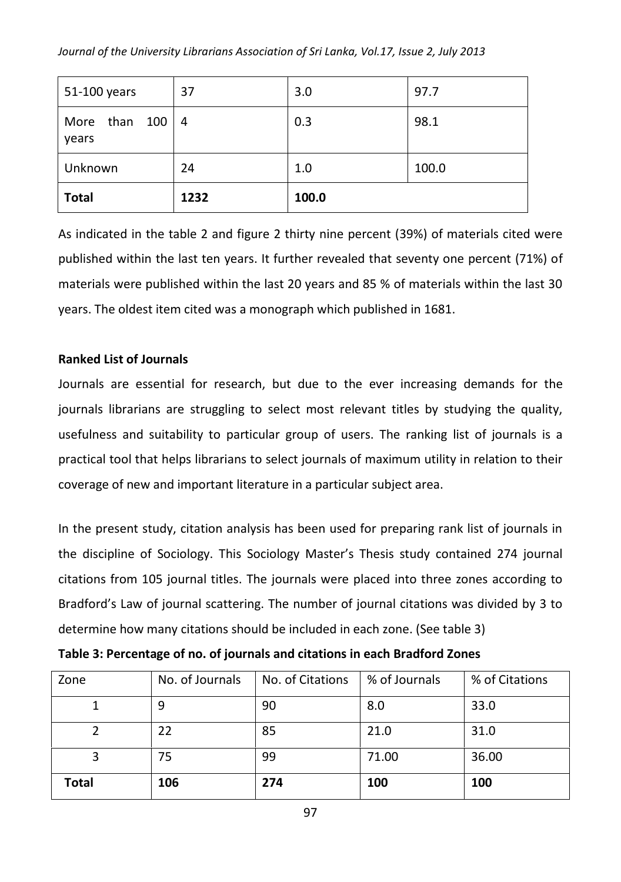| 51-100 years           | 37   | 3.0   | 97.7  |
|------------------------|------|-------|-------|
| More than 100<br>years | -4   | 0.3   | 98.1  |
| Unknown                | 24   | 1.0   | 100.0 |
| <b>Total</b>           | 1232 | 100.0 |       |

As indicated in the table 2 and figure 2 thirty nine percent (39%) of materials cited were published within the last ten years. It further revealed that seventy one percent (71%) of materials were published within the last 20 years and 85 % of materials within the last 30 years. The oldest item cited was a monograph which published in 1681.

# **Ranked List of Journals**

Journals are essential for research, but due to the ever increasing demands for the journals librarians are struggling to select most relevant titles by studying the quality, usefulness and suitability to particular group of users. The ranking list of journals is a practical tool that helps librarians to select journals of maximum utility in relation to their coverage of new and important literature in a particular subject area.

In the present study, citation analysis has been used for preparing rank list of journals in the discipline of Sociology. This Sociology Master's Thesis study contained 274 journal citations from 105 journal titles. The journals were placed into three zones according to Bradford's Law of journal scattering. The number of journal citations was divided by 3 to determine how many citations should be included in each zone. (See table 3)

| Zone  | No. of Journals | No. of Citations | % of Journals | % of Citations |
|-------|-----------------|------------------|---------------|----------------|
|       | 9               | 90               | 8.0           | 33.0           |
|       | 22              | 85               | 21.0          | 31.0           |
|       | 75              | 99               | 71.00         | 36.00          |
| Total | 106             | 274              | 100           | 100            |

**Table 3: Percentage of no. of journals and citations in each Bradford Zones**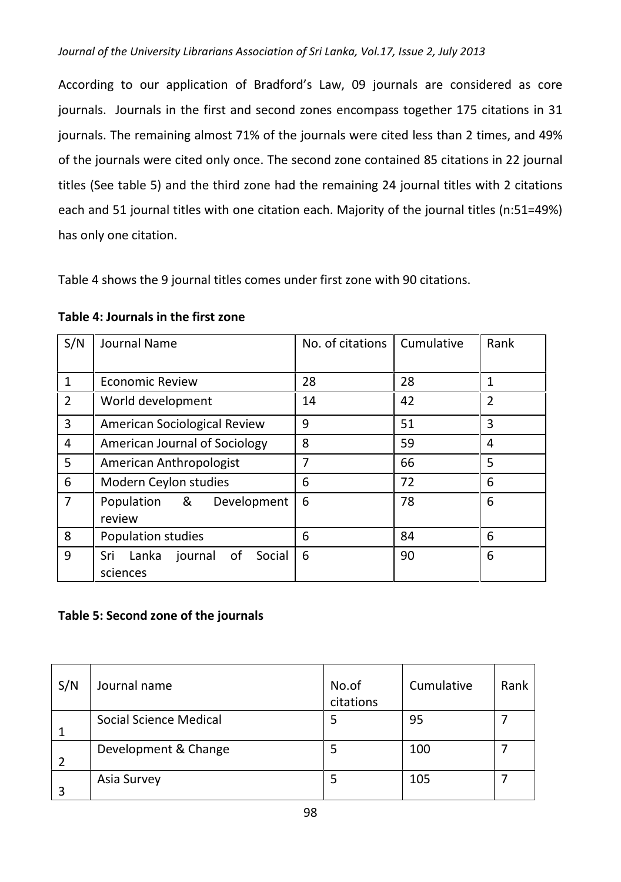According to our application of Bradford's Law, 09 journals are considered as core journals. Journals in the first and second zones encompass together 175 citations in 31 journals. The remaining almost 71% of the journals were cited less than 2 times, and 49% of the journals were cited only once. The second zone contained 85 citations in 22 journal titles (See table 5) and the third zone had the remaining 24 journal titles with 2 citations each and 51 journal titles with one citation each. Majority of the journal titles (n:51=49%) has only one citation.

Table 4 shows the 9 journal titles comes under first zone with 90 citations.

| S/N            | Journal Name                                        | No. of citations | Cumulative | Rank           |
|----------------|-----------------------------------------------------|------------------|------------|----------------|
|                |                                                     |                  |            |                |
| $\mathbf{1}$   | <b>Economic Review</b>                              | 28               | 28         | 1              |
| $\overline{2}$ | World development                                   | 14               | 42         | $\overline{2}$ |
| 3              | American Sociological Review                        | 9                | 51         | 3              |
| 4              | American Journal of Sociology                       | 8                | 59         | 4              |
| 5              | American Anthropologist                             | 7                | 66         | 5              |
| 6              | Modern Ceylon studies                               | 6                | 72         | 6              |
| $\overline{7}$ | Population &<br>Development<br>review               | 6                | 78         | 6              |
| 8              | Population studies                                  | 6                | 84         | 6              |
| 9              | Sri<br>Lanka<br>0f<br>journal<br>Social<br>sciences | 6                | 90         | 6              |

### **Table 4: Journals in the first zone**

# **Table 5: Second zone of the journals**

| S/N | Journal name           | No.of<br>citations | Cumulative | Rank |
|-----|------------------------|--------------------|------------|------|
|     | Social Science Medical | 5                  | 95         |      |
|     | Development & Change   | 5                  | 100        |      |
|     | Asia Survey            | 5                  | 105        |      |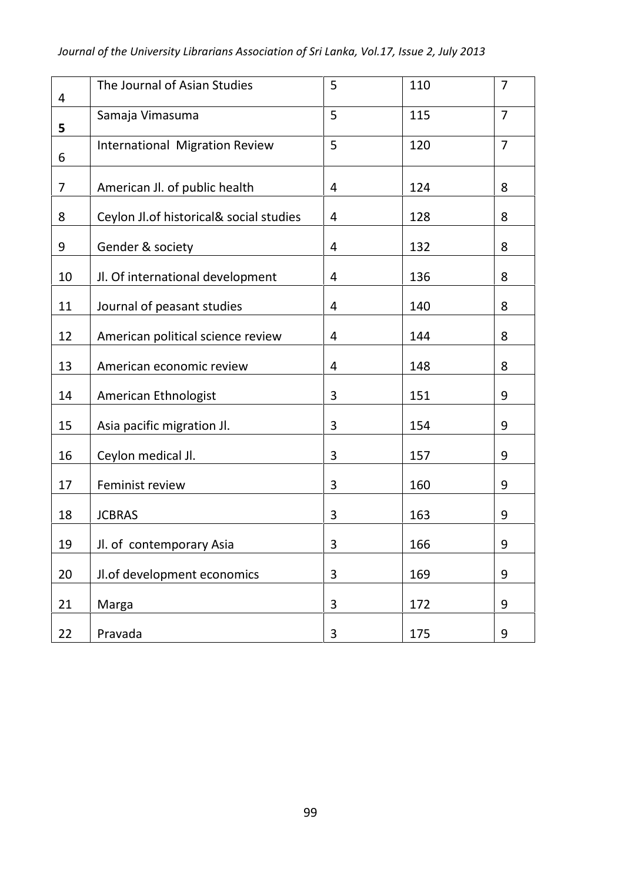| 4  | The Journal of Asian Studies            | 5              | 110 | $\overline{7}$ |
|----|-----------------------------------------|----------------|-----|----------------|
| 5  | Samaja Vimasuma                         | 5              | 115 | $\overline{7}$ |
| 6  | <b>International Migration Review</b>   | 5              | 120 | $\overline{7}$ |
| 7  | American Jl. of public health           | 4              | 124 | 8              |
| 8  | Ceylon Jl.of historical& social studies | 4              | 128 | 8              |
| 9  | Gender & society                        | $\overline{4}$ | 132 | 8              |
| 10 | Jl. Of international development        | 4              | 136 | 8              |
| 11 | Journal of peasant studies              | 4              | 140 | 8              |
| 12 | American political science review       | $\overline{4}$ | 144 | 8              |
| 13 | American economic review                | 4              | 148 | 8              |
| 14 | American Ethnologist                    | 3              | 151 | 9              |
| 15 | Asia pacific migration Jl.              | 3              | 154 | 9              |
| 16 | Ceylon medical Jl.                      | 3              | 157 | 9              |
| 17 | Feminist review                         | 3              | 160 | 9              |
| 18 | <b>JCBRAS</b>                           | 3              | 163 | 9              |
| 19 | Jl. of contemporary Asia                | 3              | 166 | 9              |
| 20 | Jl.of development economics             | 3              | 169 | 9              |
| 21 | Marga                                   | 3              | 172 | 9              |
| 22 | Pravada                                 | 3              | 175 | 9              |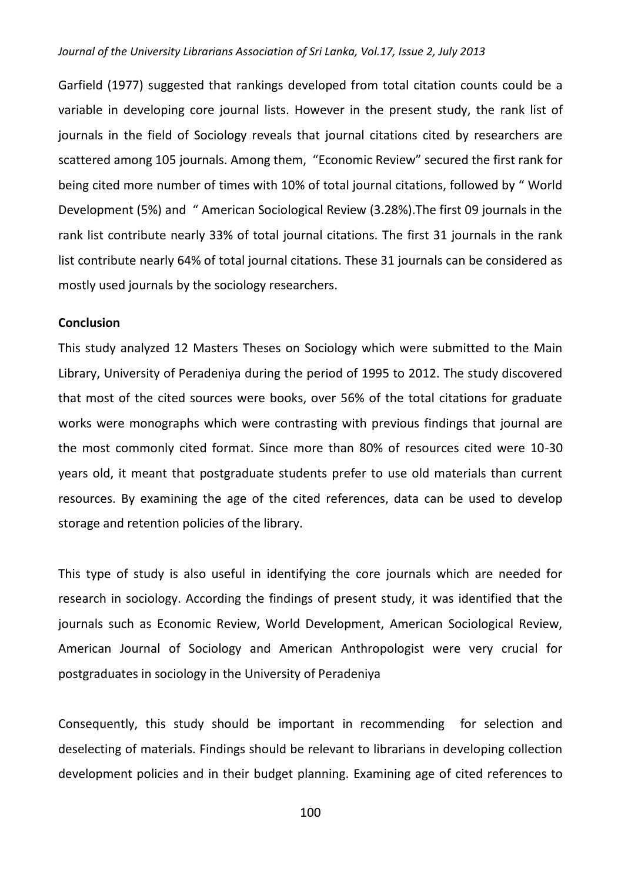Garfield (1977) suggested that rankings developed from total citation counts could be a variable in developing core journal lists. However in the present study, the rank list of journals in the field of Sociology reveals that journal citations cited by researchers are scattered among 105 journals. Among them, "Economic Review" secured the first rank for being cited more number of times with 10% of total journal citations, followed by " World Development (5%) and " American Sociological Review (3.28%).The first 09 journals in the rank list contribute nearly 33% of total journal citations. The first 31 journals in the rank list contribute nearly 64% of total journal citations. These 31 journals can be considered as mostly used journals by the sociology researchers.

#### **Conclusion**

This study analyzed 12 Masters Theses on Sociology which were submitted to the Main Library, University of Peradeniya during the period of 1995 to 2012. The study discovered that most of the cited sources were books, over 56% of the total citations for graduate works were monographs which were contrasting with previous findings that journal are the most commonly cited format. Since more than 80% of resources cited were 10-30 years old, it meant that postgraduate students prefer to use old materials than current resources. By examining the age of the cited references, data can be used to develop storage and retention policies of the library.

This type of study is also useful in identifying the core journals which are needed for research in sociology. According the findings of present study, it was identified that the journals such as Economic Review, World Development, American Sociological Review, American Journal of Sociology and American Anthropologist were very crucial for postgraduates in sociology in the University of Peradeniya

Consequently, this study should be important in recommending for selection and deselecting of materials. Findings should be relevant to librarians in developing collection development policies and in their budget planning. Examining age of cited references to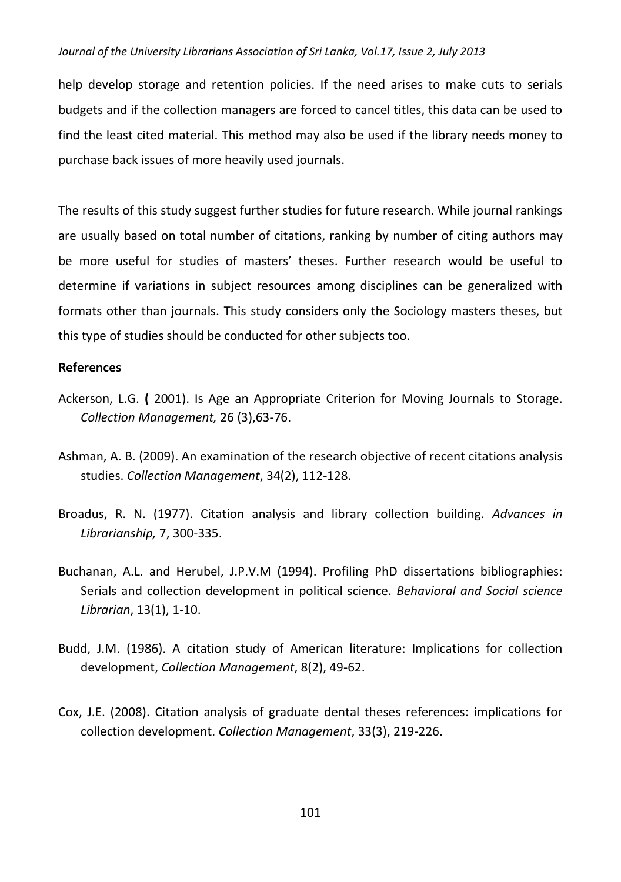help develop storage and retention policies. If the need arises to make cuts to serials budgets and if the collection managers are forced to cancel titles, this data can be used to find the least cited material. This method may also be used if the library needs money to purchase back issues of more heavily used journals.

The results of this study suggest further studies for future research. While journal rankings are usually based on total number of citations, ranking by number of citing authors may be more useful for studies of masters' theses. Further research would be useful to determine if variations in subject resources among disciplines can be generalized with formats other than journals. This study considers only the Sociology masters theses, but this type of studies should be conducted for other subjects too.

### **References**

- Ackerson, L.G. **(** 2001). Is Age an Appropriate Criterion for Moving Journals to Storage. *Collection Management,* 26 (3),63-76.
- Ashman, A. B. (2009). An examination of the research objective of recent citations analysis studies. *Collection Management*, 34(2), 112-128.
- Broadus, R. N. (1977). Citation analysis and library collection building. *Advances in Librarianship,* 7, 300-335.
- Buchanan, A.L. and Herubel, J.P.V.M (1994). Profiling PhD dissertations bibliographies: Serials and collection development in political science. *Behavioral and Social science Librarian*, 13(1), 1-10.
- Budd, J.M. (1986). A citation study of American literature: Implications for collection development, *Collection Management*, 8(2), 49-62.
- Cox, J.E. (2008). Citation analysis of graduate dental theses references: implications for collection development. *Collection Management*, 33(3), 219-226.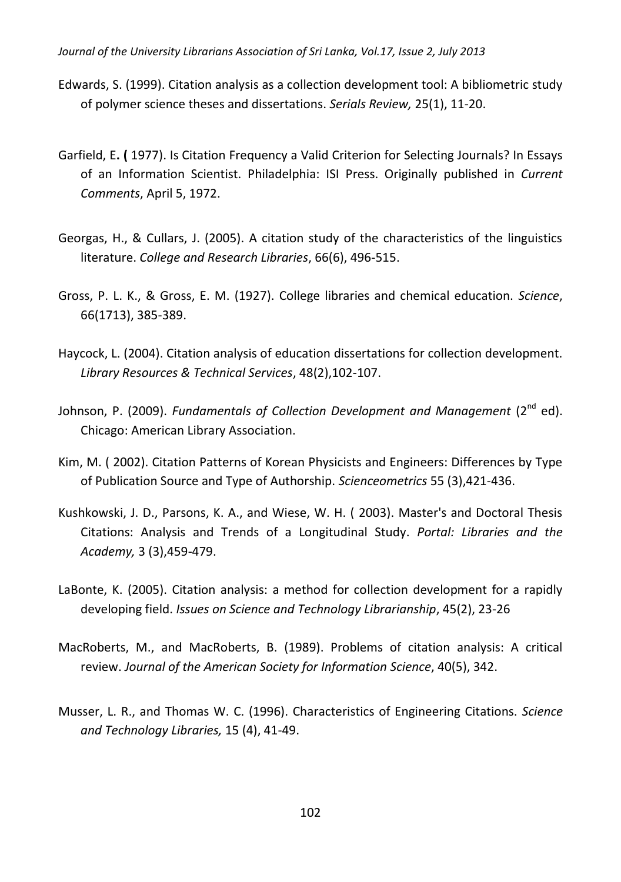- Edwards, S. (1999). Citation analysis as a collection development tool: A bibliometric study of polymer science theses and dissertations. *Serials Review,* 25(1), 11-20.
- Garfield, E**. (** 1977). Is Citation Frequency a Valid Criterion for Selecting Journals? In Essays of an Information Scientist. Philadelphia: ISI Press. Originally published in *Current Comments*, April 5, 1972.
- Georgas, H., & Cullars, J. (2005). A citation study of the characteristics of the linguistics literature. *College and Research Libraries*, 66(6), 496-515.
- Gross, P. L. K., & Gross, E. M. (1927). College libraries and chemical education. *Science*, 66(1713), 385-389.
- Haycock, L. (2004). Citation analysis of education dissertations for collection development. *Library Resources & Technical Services*, 48(2),102-107.
- Johnson, P. (2009). *Fundamentals of Collection Development and Management* (2<sup>nd</sup> ed). Chicago: American Library Association.
- Kim, M. ( 2002). Citation Patterns of Korean Physicists and Engineers: Differences by Type of Publication Source and Type of Authorship. *Scienceometrics* 55 (3),421-436.
- Kushkowski, J. D., Parsons, K. A., and Wiese, W. H. ( 2003). Master's and Doctoral Thesis Citations: Analysis and Trends of a Longitudinal Study. *Portal: Libraries and the Academy,* 3 (3),459-479.
- LaBonte, K. (2005). Citation analysis: a method for collection development for a rapidly developing field. *Issues on Science and Technology Librarianship*, 45(2), 23-26
- MacRoberts, M., and MacRoberts, B. (1989). Problems of citation analysis: A critical review. *Journal of the American Society for Information Science*, 40(5), 342.
- Musser, L. R., and Thomas W. C. (1996). Characteristics of Engineering Citations. *Science and Technology Libraries,* 15 (4), 41-49.